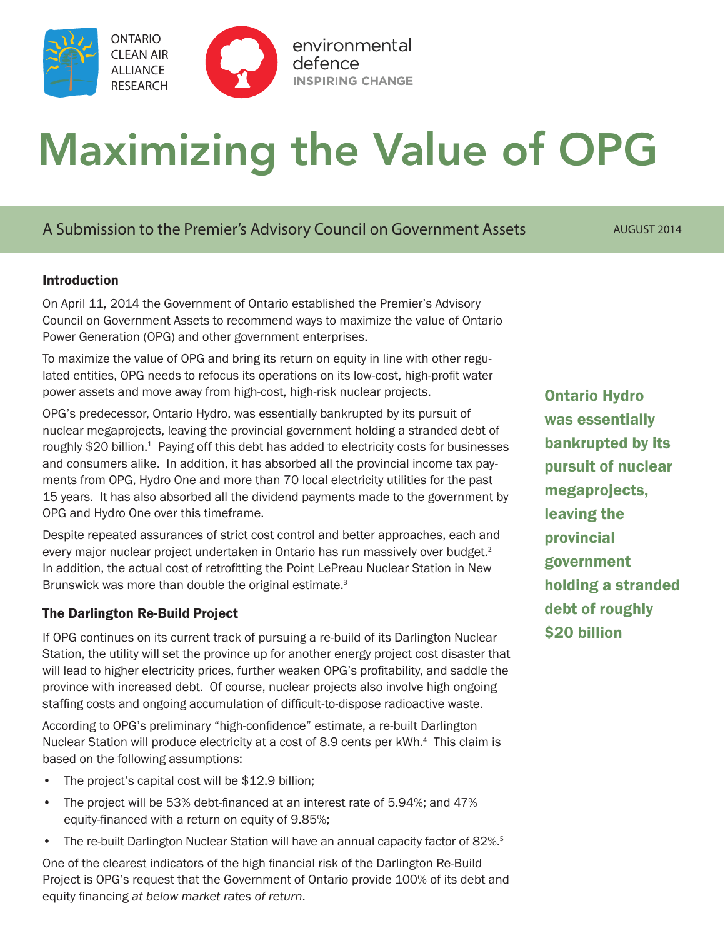

# Maximizing the Value of OPG

# A Submission to the Premier's Advisory Council on Government Assets AUGUST 2014

## **Introduction**

On April 11, 2014 the Government of Ontario established the Premier's Advisory Council on Government Assets to recommend ways to maximize the value of Ontario Power Generation (OPG) and other government enterprises.

To maximize the value of OPG and bring its return on equity in line with other regulated entities, OPG needs to refocus its operations on its low-cost, high-profit water power assets and move away from high-cost, high-risk nuclear projects.

OPG's predecessor, Ontario Hydro, was essentially bankrupted by its pursuit of nuclear megaprojects, leaving the provincial government holding a stranded debt of roughly \$20 billion.<sup>1</sup> Paying off this debt has added to electricity costs for businesses and consumers alike. In addition, it has absorbed all the provincial income tax payments from OPG, Hydro One and more than 70 local electricity utilities for the past 15 years. It has also absorbed all the dividend payments made to the government by OPG and Hydro One over this timeframe.

Despite repeated assurances of strict cost control and better approaches, each and every major nuclear project undertaken in Ontario has run massively over budget.<sup>2</sup> In addition, the actual cost of retrofitting the Point LePreau Nuclear Station in New Brunswick was more than double the original estimate.<sup>3</sup>

## The Darlington Re-Build Project

If OPG continues on its current track of pursuing a re-build of its Darlington Nuclear Station, the utility will set the province up for another energy project cost disaster that will lead to higher electricity prices, further weaken OPG's profitability, and saddle the province with increased debt. Of course, nuclear projects also involve high ongoing staffing costs and ongoing accumulation of difficult-to-dispose radioactive waste.

According to OPG's preliminary "high-confidence" estimate, a re-built Darlington Nuclear Station will produce electricity at a cost of 8.9 cents per kWh.<sup>4</sup> This claim is based on the following assumptions:

- The project's capital cost will be \$12.9 billion;
- The project will be 53% debt-financed at an interest rate of 5.94%; and 47% equity-financed with a return on equity of 9.85%;
- The re-built Darlington Nuclear Station will have an annual capacity factor of 82%.<sup>5</sup>

One of the clearest indicators of the high financial risk of the Darlington Re-Build Project is OPG's request that the Government of Ontario provide 100% of its debt and equity financing *at below market rates of return*.

Ontario Hydro was essentially bankrupted by its pursuit of nuclear megaprojects, leaving the provincial government holding a stranded debt of roughly \$20 billion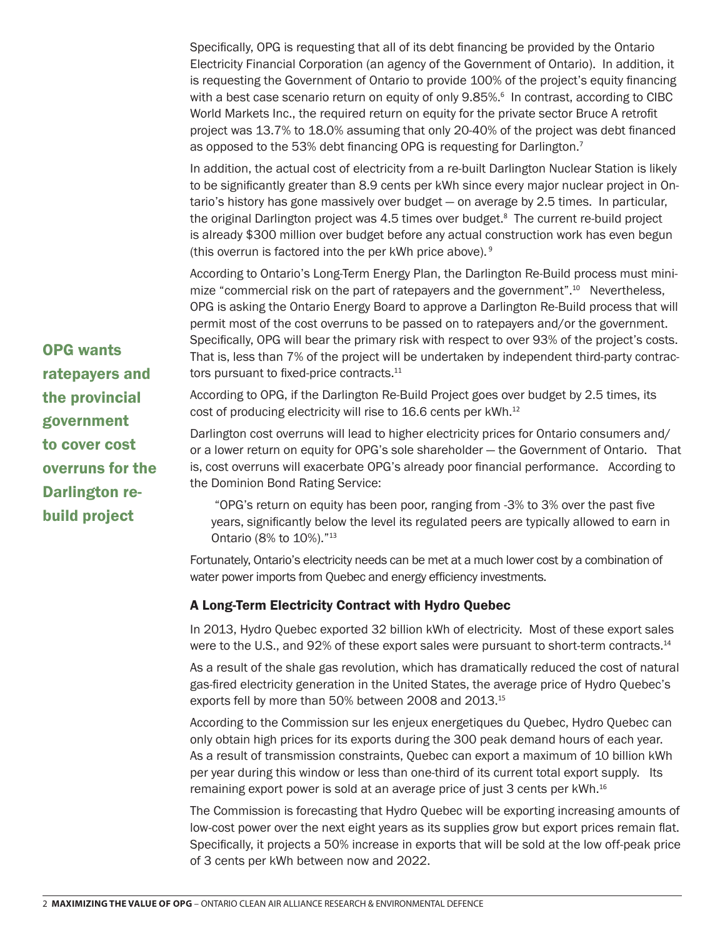Specifically, OPG is requesting that all of its debt financing be provided by the Ontario Electricity Financial Corporation (an agency of the Government of Ontario). In addition, it is requesting the Government of Ontario to provide 100% of the project's equity financing with a best case scenario return on equity of only 9.85%.<sup>6</sup> In contrast, according to CIBC World Markets Inc., the required return on equity for the private sector Bruce A retrofit project was 13.7% to 18.0% assuming that only 20-40% of the project was debt financed as opposed to the 53% debt financing OPG is requesting for Darlington.<sup>7</sup>

In addition, the actual cost of electricity from a re-built Darlington Nuclear Station is likely to be significantly greater than 8.9 cents per kWh since every major nuclear project in Ontario's history has gone massively over budget — on average by 2.5 times. In particular, the original Darlington project was 4.5 times over budget.<sup>8</sup> The current re-build project is already \$300 million over budget before any actual construction work has even begun (this overrun is factored into the per kWh price above).  $9$ 

According to Ontario's Long-Term Energy Plan, the Darlington Re-Build process must minimize "commercial risk on the part of ratepayers and the government".<sup>10</sup> Nevertheless, OPG is asking the Ontario Energy Board to approve a Darlington Re-Build process that will permit most of the cost overruns to be passed on to ratepayers and/or the government. Specifically, OPG will bear the primary risk with respect to over 93% of the project's costs. That is, less than 7% of the project will be undertaken by independent third-party contractors pursuant to fixed-price contracts.<sup>11</sup>

According to OPG, if the Darlington Re-Build Project goes over budget by 2.5 times, its cost of producing electricity will rise to 16.6 cents per kWh.<sup>12</sup>

Darlington cost overruns will lead to higher electricity prices for Ontario consumers and/ or a lower return on equity for OPG's sole shareholder — the Government of Ontario. That is, cost overruns will exacerbate OPG's already poor financial performance. According to the Dominion Bond Rating Service:

 "OPG's return on equity has been poor, ranging from -3% to 3% over the past five years, significantly below the level its regulated peers are typically allowed to earn in Ontario (8% to 10%)."<sup>13</sup>

Fortunately, Ontario's electricity needs can be met at a much lower cost by a combination of water power imports from Quebec and energy efficiency investments.

## A Long-Term Electricity Contract with Hydro Quebec

In 2013, Hydro Quebec exported 32 billion kWh of electricity. Most of these export sales were to the U.S., and 92% of these export sales were pursuant to short-term contracts.<sup>14</sup>

As a result of the shale gas revolution, which has dramatically reduced the cost of natural gas-fired electricity generation in the United States, the average price of Hydro Quebec's exports fell by more than 50% between 2008 and 2013.<sup>15</sup>

According to the Commission sur les enjeux energetiques du Quebec, Hydro Quebec can only obtain high prices for its exports during the 300 peak demand hours of each year. As a result of transmission constraints, Quebec can export a maximum of 10 billion kWh per year during this window or less than one-third of its current total export supply. Its remaining export power is sold at an average price of just 3 cents per kWh.<sup>16</sup>

The Commission is forecasting that Hydro Quebec will be exporting increasing amounts of low-cost power over the next eight years as its supplies grow but export prices remain flat. Specifically, it projects a 50% increase in exports that will be sold at the low off-peak price of 3 cents per kWh between now and 2022.

OPG wants ratepayers and the provincial government to cover cost overruns for the Darlington rebuild project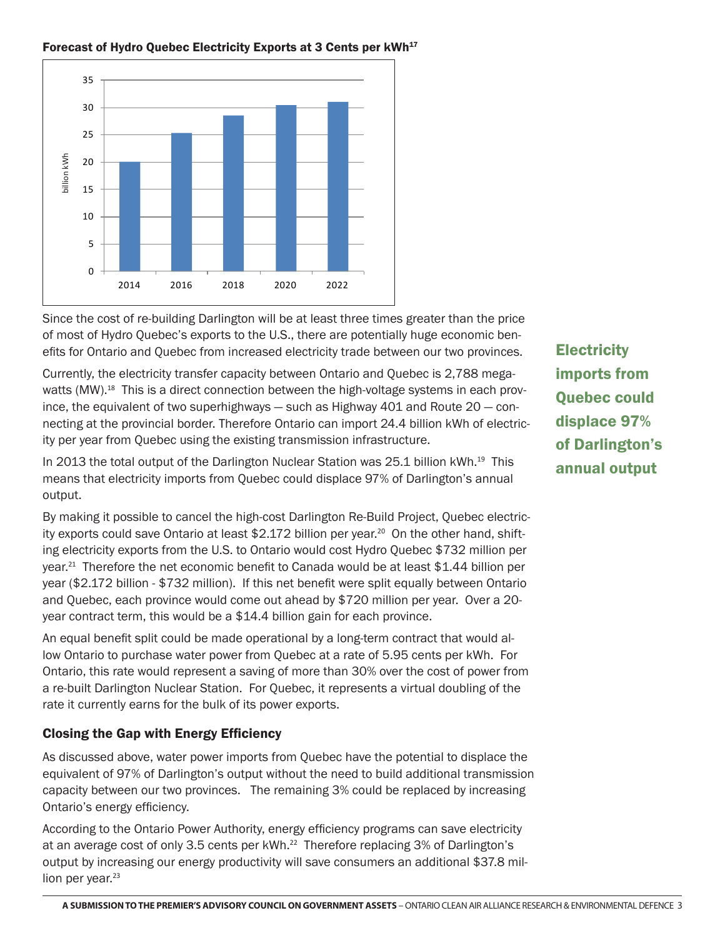

#### Forecast of Hydro Quebec Electricity Exports at 3 Cents per kWh<sup>17</sup>

Since the cost of re-building Darlington will be at least three times greater than the price of most of Hydro Quebec's exports to the U.S., there are potentially huge economic benefits for Ontario and Quebec from increased electricity trade between our two provinces.

Currently, the electricity transfer capacity between Ontario and Quebec is 2,788 megawatts (MW).<sup>18</sup> This is a direct connection between the high-voltage systems in each province, the equivalent of two superhighways  $-$  such as Highway 401 and Route 20  $-$  connecting at the provincial border. Therefore Ontario can import 24.4 billion kWh of electricity per year from Quebec using the existing transmission infrastructure.

In 2013 the total output of the Darlington Nuclear Station was 25.1 billion kWh.<sup>19</sup> This means that electricity imports from Quebec could displace 97% of Darlington's annual output.

By making it possible to cancel the high-cost Darlington Re-Build Project, Quebec electricity exports could save Ontario at least \$2.172 billion per year.<sup>20</sup> On the other hand, shifting electricity exports from the U.S. to Ontario would cost Hydro Quebec \$732 million per year.<sup>21</sup> Therefore the net economic benefit to Canada would be at least \$1.44 billion per year (\$2.172 billion - \$732 million). If this net benefit were split equally between Ontario and Quebec, each province would come out ahead by \$720 million per year. Over a 20 year contract term, this would be a \$14.4 billion gain for each province.

An equal benefit split could be made operational by a long-term contract that would allow Ontario to purchase water power from Quebec at a rate of 5.95 cents per kWh. For Ontario, this rate would represent a saving of more than 30% over the cost of power from a re-built Darlington Nuclear Station. For Quebec, it represents a virtual doubling of the rate it currently earns for the bulk of its power exports.

## Closing the Gap with Energy Efficiency

As discussed above, water power imports from Quebec have the potential to displace the equivalent of 97% of Darlington's output without the need to build additional transmission capacity between our two provinces. The remaining 3% could be replaced by increasing Ontario's energy efficiency.

According to the Ontario Power Authority, energy efficiency programs can save electricity at an average cost of only 3.5 cents per kWh.<sup>22</sup> Therefore replacing 3% of Darlington's output by increasing our energy productivity will save consumers an additional \$37.8 million per year.<sup>23</sup>

**Electricity** imports from Quebec could displace 97% of Darlington's annual output